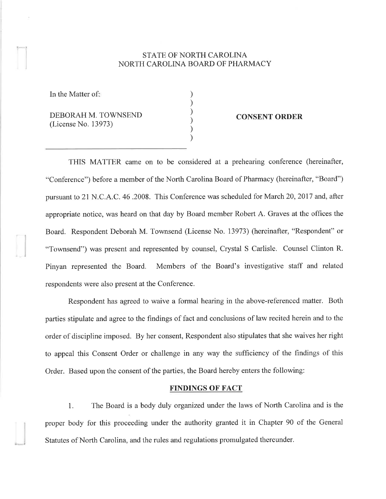## STATE OF NORTH CAROLINA NORTH CAROLINA BOARD OF PHARMACY

) ) ) ) ) )

In the Matter of:

.,¡

DEBORAH M. TOWNSEND (License No. 13973)

## CONSENT ORDER

THIS MATTER came on to be considered at a prehearing conference (hereinafter, "Conference") before a member of the North Carolina Board of Pharmacy (hereinafter, "Board") pursuant to 21 N.C.A.C. 46.2008. This Conference was scheduled for March 20,2017 and, after appropriate notice, was heard on that day by Board member Robert A. Graves at the offices the Board. Respondent Deborah M. Townsend (License No. 13973) (hereinafter, "Respondent" or "Townsend") was present and represented by counsel, Crystal S Carlisle. Counsel Clinton R. Pinyan represented the Board. Members of the Board's investigative staff and related respondents were also present at the Conference.

Respondent has agreed to waive a formal hearing in the above-referenced matter. Both parties stipulate and agree to the findings of fact and conclusions of law recited herein and to the order of discipline imposed. By her consent, Respondent also stipulates that she waives her right to appeal this Consent Order or challenge in any way the sufficiency of the findings of this Order. Based upon the consent of the parties, the Board hereby enters the following:

## FINDINGS OF FACT

1. The Board is a body duly organized under the laws of North Carolina and is the proper body for this proceeding under the authority granted it in Chapter 90 of the General Statutes of North Carolina, and the rules and regulations promulgated thereunder.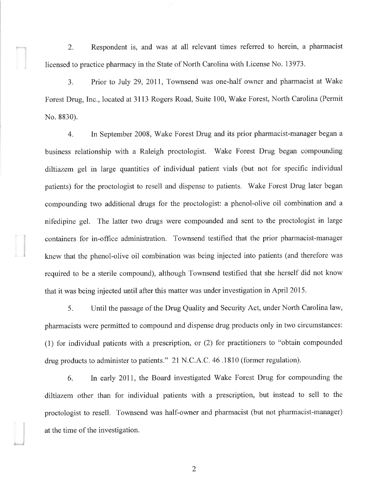2. Respondent is, and was at all relevant times referred to herein, a pharmacist licensed to practice pharmacy in the State of North Carolina with License No. 13973.

3. Prior to July 29,201I, Townsend was one-half owner and pharmacist at Wake Forest Drug, Inc., located at 3113 Rogers Road, Suite 100, Wake Forest, North Carolina (Permit No. 8830).

4. In September 2008, Wake Forest Drug and its prior pharmacist-manager began <sup>a</sup> business relationship with a Raleigh proctologist. Wake Forest Drug began compounding diltiazem gel in large quantities of individual patient vials (but not for specific individual patients) for the proctologist to resell and dispense to patients. Wake Forest Drug later began compounding two additional drugs for the proctologist: a phenol-olive oil combination and <sup>a</sup> nifedipine gel. The latter two drugs were compounded and sent to the proctologist in large containers for in-office administration. Townsend testified that the prior pharmacist-manager knew that the phenol-olive oil combination was being injected into patients (and therefore was required to be a sterile compound), although Townsend testified that she herself did not know that it was being injected until after this matter was under investigation in April 2015.

5. Until the passage of the Drug Quality and Security Act, under North Carolina law, pharmacists were permitted to compound and dispense drug products only in two circumstances: (1) for individual patients with a prescription, or (2) for practitioners to "obtain compounded drug products to administer to patients." 21 N.C.A.C.46.1810 (former regulation).

6. In early 201I, the Board investigated Wake Forest Drug for compounding the diltiazem other than for individual patients with a prescription, but instead to sell to the proctologist to resell. Townsend was half-owner and pharmacist (but not pharmacist-manager) at the time of the investigation.

2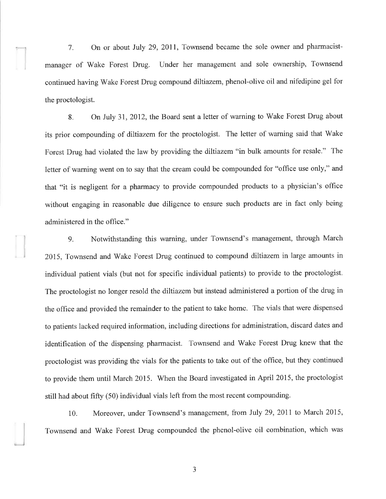7. On or about July 29,2011, Townsend became the sole owner and pharmacistmanager of Wake Forest Drug. Under her management and sole ownership, Townsend continued having'Wake Forest Drug compound diltiazem, phenol-olive oil and nifedipine gel for the proctologist.

8. On July 31, 2012, the Board sent a letter of warning to Wake Forest Drug about its prior compounding of diltiazem for the proctologist. The letter of warning said that Wake Forest Drug had violated the law by providing the diltiazem "in bulk amounts for resale." The letter of warning went on to say that the cream could be compounded for "office use only," and that "it is negligent for a pharmacy to provide compounded products to a physician's office without engaging in reasonable due diligence to ensure such products are in fact only being administered in the office."

9. Notwithstanding this warning, under Townsend's management, through March 2015, Townsend and Wake Forest Drug continued to compound diltiazem in large amounts in individual patient vials (but not for specific individual patients) to provide to the proctologist. The proctologist no longer resold the diltiazem but instead administered a portion of the drug in the office and provided the remainder to the patient to take home. The vials that were dispensed to patients lacked required information, including directions for administration, discard dates and identification of the dispensing pharmacist. Townsend and Wake Forest Drug knew that the proctologist was providing the vials for the patients to take out of the office, but they continued to provide them until March 2015. When the Board investigated in April 2015, the proctologist still had about fifty (50) individual vials left from the most recent compounding.

10. Moreover, under Townsend's management, from July 29, 2011 to March 2015, Townsend and Wake Forest Drug compounded the phenol-olive oil combination, which was

l

1 J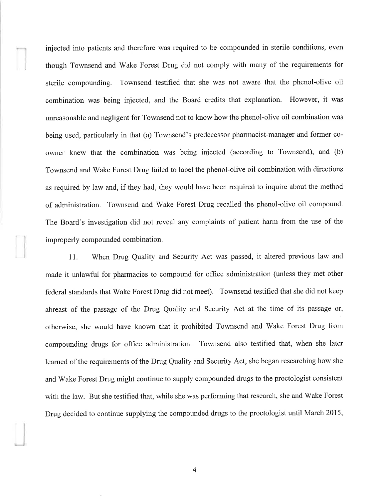injected into patients and therefore was required to be compounded in sterile conditions, even though Townsend and Wake Forest Drug did not comply with many of the requirements for sterile compounding. Townsend testified that she was not aware that the phenol-olive oil combination was being injected, and the Board credits that explanation. However, it was unreasonable and negligent for Townsend not to know how the phenol-olive oil combination was being used, particularly in that (a) Townsend's predecessor pharmacist-manager and former coowner knew that the combination was being injected (according to Townsend), and (b) Townsend and Wake Forest Drug failed to label the phenol-olive oil combination with directions as required by law and, if they had, they would have been required to inquire about the method of administration. Townsend and Wake Forest Drug recalled the phenol-olive oil compound. The Board's investigation did not reveal any complaints of patient harm from the use of the improperly compounded combination.

<sup>I</sup>l. When Drug Quality and Security Act was passed, it altered previous law and made it unlawful for pharmacies to compound for office administration (unless they met other federal standards that Wake Forest Drug did not meet). Townsend testified that she did not keep abreast of the passage of the Drug Quality and Security Act at the time of its passage or, otherwise, she would have known that it prohibited Townsend and Wake Forest Drug from compounding drugs for ofhce administration. Townsend also testified that, when she later learned of the requirements of the Drug Quality and Security Act, she began researching how she and Wake Forest Drug might continue to supply compounded drugs to the proctologist consistent with the law. But she testified that, while she was performing that research, she and Wake Forest Drug decided to continue supplying the compounded drugs to the proctologist until March 2015,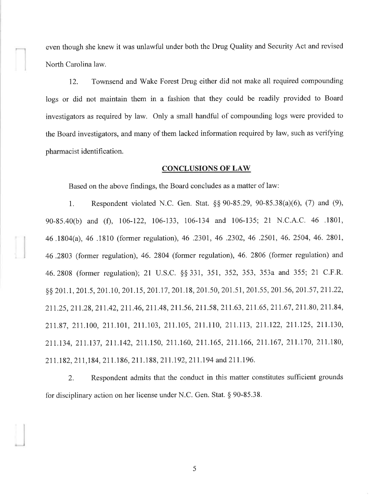even though she knew it was unlawful under both the Drug Quality and Security Act and revised North Carolina law.

12. Townsend and Wake Forest Drug either did not make all required compounding logs or did not maintain them in a fashion that they could be readily provided to Board investigators as required by law. Only a small handful of compounding logs were provided to the Board investigators, and many of them lacked information required by law, such as verifying pharmacist identification.

## CONCLUSIONS OF LAW

Based on the above findings, the Board concludes as a matter of law:

1. Respondent violated N.C. Gen. Stat.  $\S$ § 90-85.29, 90-85.38(a)(6), (7) and (9), 90-S5.40(b) and (Ð, 106-122, 106-133, 106-134 and 106-135; 2l N.C.A.C. 46 .1801, 46.1504(a),46 .1810 (former regulation), 46 .2301,46 .2302,46 .2501,46.2504,46.2801, 46 .2803 (former regulation), 46. 2804 (former regulation), 46. 2806 (former regulation) and 46.2808 (former regulation); 21 U.S.C. \$\$331, 357,352,353,353a and 355;21 C.F.R. 8 201.1, 201.5, 201.10, 201.15, 201.17, 201.18, 201.50, 201.51, 201.55, 201.56, 201.57, 211.22, 211.25, 211.28, 211.42, 211.46, 211.48, 211.56, 211.58, 211.63, 211.65, 211.67, 211.80, 211.84, 21t.87, 211.100, 2lI.l0l, 211.103, 211.105, 2lI.ll0, 211.113, 211.122, 211.125, 211.130, 211.134, 2II.l37, 2T1.142, 211.150, 21t.160, 211.165, 211.166, 211.167, 211.170, 211.180, 211.182, 211,184, 211.186, 211.1 88, 211.192, 2ll.l94 and 211.196.

2. Respondent admits that the conduct in this matter constitutes sufficient grounds for disciplinary action on her license under N.C. Gen. Stat. \$ 90-85.38.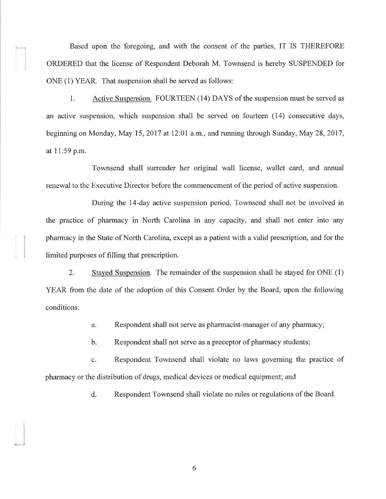Based upon the foregoing, and with the consent of the parties, IT IS THEREFORE ORDERED that the license of Respondent Deborah M. Townsend is hereby SUSPENDED for ONE (1) YEAR. That suspension shall be served as follows:

1. Active Suspension. FOURTEEN (14) DAYS of the suspension must be served as an active suspension, which suspension shall be served on fourteen (1a) consecutive days, beginning on Monday, May 15, 2017 at 12:01 a.m., and running through Sunday, May 28, 2017, at I 1:59 p.m.

Townsend shall surrender her original wall license, wallet card, and annual renewal to the Executive Director before the commencement of the period of active suspension.

During the 14-day active suspension period, Townsend shall not be involved in the practice of pharmacy in North Carolina in any capacity, and shall not enter into any pharmacy in the State of North Carolina, except as a patient with a valid prescription, and for the limited purposes of filling that prescription.

2. Stayed Suspension. The remainder of the suspension shall be stayed for ONE (1) YEAR from the date of the adoption of this Consent Order by the Board, upon the following conditions:

a. Respondent shall not serve as pharmacist-manager of any pharmacy;

b. Respondent shall not serve as a preceptor of pharmacy students;

c. Respondent Townsend shall violate no laws governing the practice of pharmacy or the distribution of drugs, medical devices or medical equipment; and

d. Respondent Townsend shall violate no rules or regulations of the Board.

6

)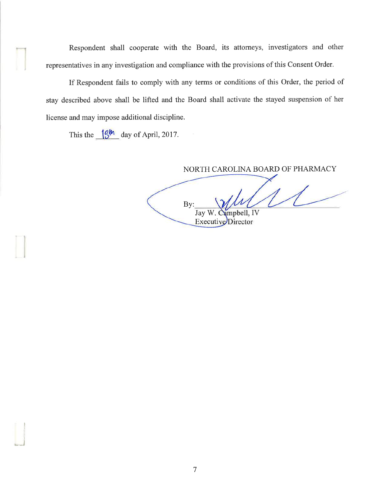Respondent shall cooperate with the Board, its attorneys, investigators and other representatives in any investigation and compliance with the provisions of this Consent Order.

If Respondent fails to comply with any terms or conditions of this Order, the period of stay described above shall be lifted and the Board shall activate the stayed suspension of her license and may impose additional discipline.

This the  $\frac{1}{3}$ <sup>th</sup> day of April, 2017.

J

NORTH CAROLINA BOARD OF PHARMACY

Campbell, IV By: Executive Director Jay W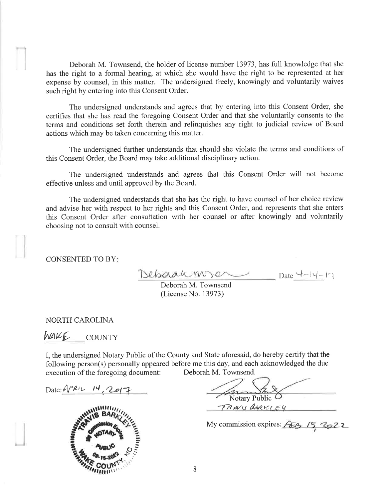Deborah M. Townsend, the holder of license number 13973, has full knowledge that she has the right to a formal hearing, at which she would have the right to be represented at her expense by counsel, in this matter. The undersigned freely, knowingly and voluntarily waives such right by entering into this Consent Order.

The undersigned understands and agrees that by entering into this Consent Order, she certifies that she has read the foregoing Consent Order and that she voluntarily consents to the terms and conditions set forth therein and relinquishes any right to judicial review of Board actions which may be taken concerning this matter.

The undersigned further understands that should she violate the terms and conditions of this Consent Order, the Board may take additional disciplinary action.

The undersigned understands and agrees that this Consent Order will not become effective unless and until approved by the Board.

The undersigned understands that she has the right to have counsel of her choice review and advise her with respect to her rights and this Consent Order, and represents that she enters this Consent Order after consultation with her counsel or after knowingly and voluntarily choosing not to consult with counsel.

CONSENTED TO BY

-¡

 $\overline{\phantom{a}}$ 

 $Debaahm$ 

Deborah M. Townsend (License No. 13973)

NORTH CAROLINA

WAKE COUNTY

I, the undersigned Notary Public of the County and State aforesaid, do hereby certify that the following person(s) personally appeared before me this day, and each acknowledged the due execution of the foregoing document: Deborah M. Townsend.

Date:  $4/2017$ 



Notary Public O TRAVIS BARKIEY

My commission expires:  $\sqrt{EG}$  /5,  $\sqrt{Q}$  22